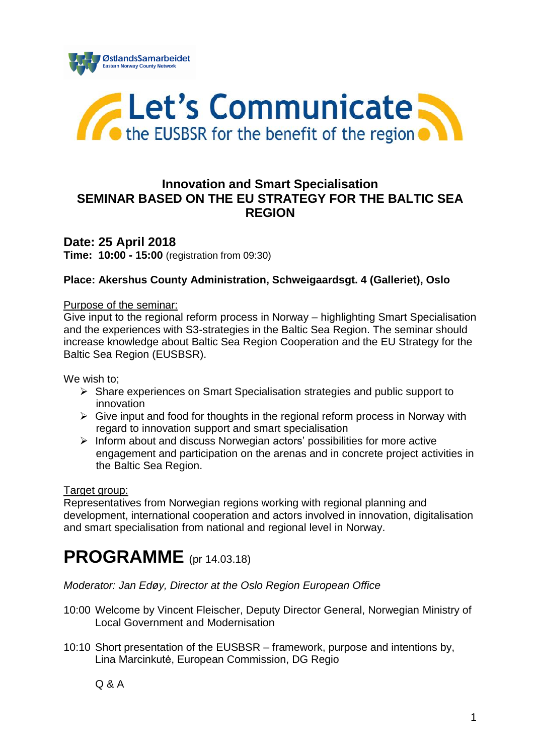



## **Innovation and Smart Specialisation SEMINAR BASED ON THE EU STRATEGY FOR THE BALTIC SEA REGION**

**Date: 25 April 2018 Time: 10:00 - 15:00** (registration from 09:30)

#### **Place: Akershus County Administration, Schweigaardsgt. 4 (Galleriet), Oslo**

#### Purpose of the seminar:

Give input to the regional reform process in Norway – highlighting Smart Specialisation and the experiences with S3-strategies in the Baltic Sea Region. The seminar should increase knowledge about Baltic Sea Region Cooperation and the EU Strategy for the Baltic Sea Region (EUSBSR).

We wish to:

- Share experiences on Smart Specialisation strategies and public support to innovation
- $\triangleright$  Give input and food for thoughts in the regional reform process in Norway with regard to innovation support and smart specialisation
- $\triangleright$  Inform about and discuss Norwegian actors' possibilities for more active engagement and participation on the arenas and in concrete project activities in the Baltic Sea Region.

#### Target group:

Representatives from Norwegian regions working with regional planning and development, international cooperation and actors involved in innovation, digitalisation and smart specialisation from national and regional level in Norway.

# **PROGRAMME** (pr 14.03.18)

*Moderator: Jan Edøy, Director at the Oslo Region European Office* 

- 10:00 Welcome by Vincent Fleischer, Deputy Director General, Norwegian Ministry of Local Government and Modernisation
- 10:10 Short presentation of the EUSBSR framework, purpose and intentions by, Lina Marcinkutė, European Commission, DG Regio